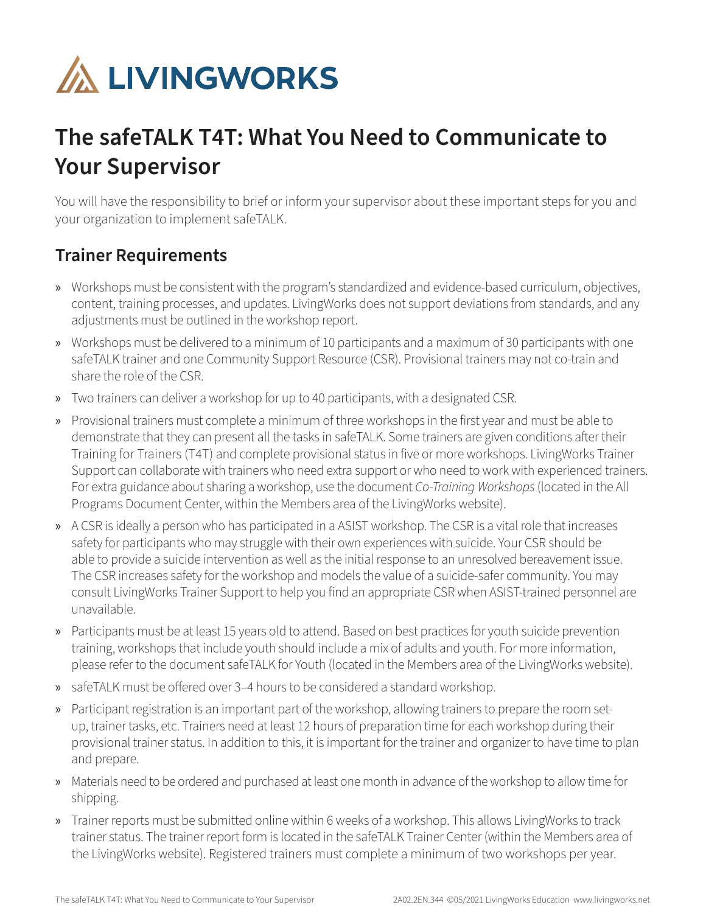

## **The safeTALK T4T: What You Need to Communicate to Your Supervisor**

You will have the responsibility to brief or inform your supervisor about these important steps for you and your organization to implement safeTALK.

## **Trainer Requirements**

- » Workshops must be consistent with the program's standardized and evidence-based curriculum, objectives, content, training processes, and updates. LivingWorks does not support deviations from standards, and any adjustments must be outlined in the workshop report.
- » Workshops must be delivered to a minimum of 10 participants and a maximum of 30 participants with one safeTALK trainer and one Community Support Resource (CSR). Provisional trainers may not co-train and share the role of the CSR.
- » Two trainers can deliver a workshop for up to 40 participants, with a designated CSR.
- » Provisional trainers must complete a minimum of three workshops in the first year and must be able to demonstrate that they can present all the tasks in safeTALK. Some trainers are given conditions after their Training for Trainers (T4T) and complete provisional status in five or more workshops. LivingWorks Trainer Support can collaborate with trainers who need extra support or who need to work with experienced trainers. For extra guidance about sharing a workshop, use the document *Co-Training Workshops* (located in the All Programs Document Center, within the Members area of the LivingWorks website).
- » A CSR is ideally a person who has participated in a ASIST workshop. The CSR is a vital role that increases safety for participants who may struggle with their own experiences with suicide. Your CSR should be able to provide a suicide intervention as well as the initial response to an unresolved bereavement issue. The CSR increases safety for the workshop and models the value of a suicide-safer community. You may consult LivingWorks Trainer Support to help you find an appropriate CSR when ASIST-trained personnel are unavailable.
- » Participants must be at least 15 years old to attend. Based on best practices for youth suicide prevention training, workshops that include youth should include a mix of adults and youth. For more information, please refer to the document safeTALK for Youth (located in the Members area of the LivingWorks website).
- » safeTALK must be offered over 3–4 hours to be considered a standard workshop.
- » Participant registration is an important part of the workshop, allowing trainers to prepare the room setup, trainer tasks, etc. Trainers need at least 12 hours of preparation time for each workshop during their provisional trainer status. In addition to this, it is important for the trainer and organizer to have time to plan and prepare.
- » Materials need to be ordered and purchased at least one month in advance of the workshop to allow time for shipping.
- » Trainer reports must be submitted online within 6 weeks of a workshop. This allows LivingWorks to track trainer status. The trainer report form is located in the safeTALK Trainer Center (within the Members area of the LivingWorks website). Registered trainers must complete a minimum of two workshops per year.